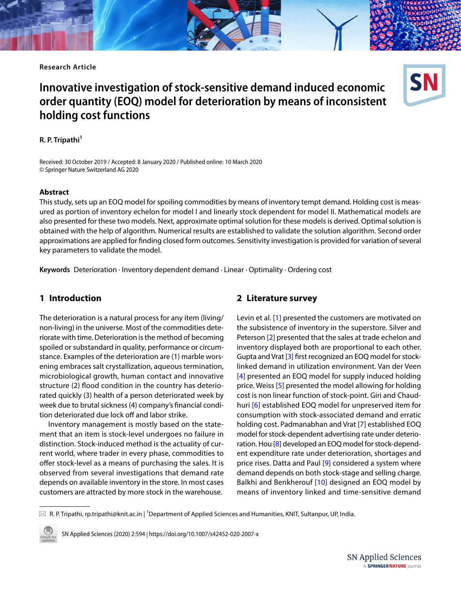**Research Article**

# **Innovative investigation of stock‑sensitive demand induced economic order quantity (EOQ) model for deterioration by means of inconsistent holding cost functions**



**R. P. Tripathi<sup>1</sup>**

Received: 30 October 2019 / Accepted: 8 January 2020 / Published online: 10 March 2020 © Springer Nature Switzerland AG 2020

#### **Abstract**

This study, sets up an EOQ model for spoiling commodities by means of inventory tempt demand. Holding cost is measured as portion of inventory echelon for model I and linearly stock dependent for model II. Mathematical models are also presented for these two models. Next, approximate optimal solution for these models is derived. Optimal solution is obtained with the help of algorithm. Numerical results are established to validate the solution algorithm. Second order approximations are applied for fnding closed form outcomes. Sensitivity investigation is provided for variation of several key parameters to validate the model.

**Keywords** Deterioration · Inventory dependent demand · Linear · Optimality · Ordering cost

### **1 Introduction**

The deterioration is a natural process for any item (living/ non-living) in the universe. Most of the commodities deteriorate with time. Deterioration is the method of becoming spoiled or substandard in quality, performance or circumstance. Examples of the deterioration are (1) marble worsening embraces salt crystallization, aqueous termination, microbiological growth, human contact and innovative structure (2) flood condition in the country has deteriorated quickly (3) health of a person deteriorated week by week due to brutal sickness (4) company's fnancial condition deteriorated due lock off and labor strike.

Inventory management is mostly based on the statement that an item is stock-level undergoes no failure in distinction. Stock-induced method is the actuality of current world, where trader in every phase, commodities to offer stock-level as a means of purchasing the sales. It is observed from several investigations that demand rate depends on available inventory in the store. In most cases customers are attracted by more stock in the warehouse.

#### <span id="page-0-0"></span>**2 Literature survey**

Levin et al. [[1\]](#page-7-0) presented the customers are motivated on the subsistence of inventory in the superstore. Silver and Peterson [[2\]](#page-7-1) presented that the sales at trade echelon and inventory displayed both are proportional to each other. Gupta and Vrat [[3\]](#page-7-2) frst recognized an EOQ model for stocklinked demand in utilization environment. Van der Veen [[4](#page-7-3)] presented an EOQ model for supply induced holding price. Weiss [\[5\]](#page-7-4) presented the model allowing for holding cost is non linear function of stock-point. Giri and Chaudhuri [\[6\]](#page-7-5) established EOQ model for unpreserved item for consumption with stock-associated demand and erratic holding cost. Padmanabhan and Vrat [\[7](#page-7-6)] established EOQ model for stock-dependent advertising rate under deterioration. Hou [[8\]](#page-7-7) developed an EOQ model for stock-dependent expenditure rate under deterioration, shortages and price rises. Datta and Paul [[9\]](#page-7-8) considered a system where demand depends on both stock-stage and selling charge. Balkhi and Benkherouf [[10](#page-7-9)] designed an EOQ model by means of inventory linked and time-sensitive demand

 $\boxtimes \,$  R. P. Tripathi, rp.tripathi@knit.ac.in | <sup>1</sup>Department of Applied Sciences and Humanities, KNIT, Sultanpur, UP, India.



SN Applied Sciences (2020) 2:594 | https://doi.org/10.1007/s42452-020-2007-x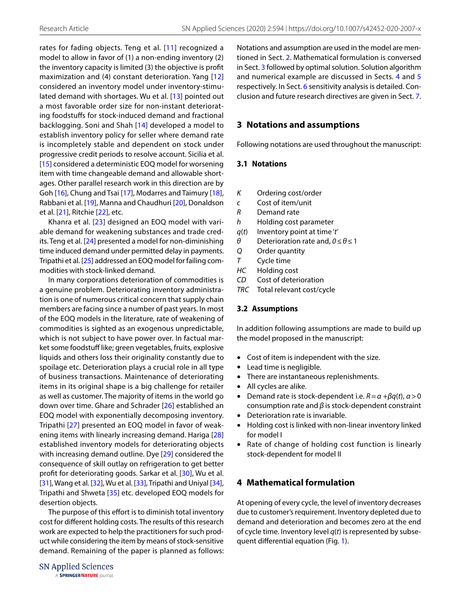rates for fading objects. Teng et al. [[11](#page-7-10)] recognized a model to allow in favor of (1) a non-ending inventory (2) the inventory capacity is limited (3) the objective is proft maximization and (4) constant deterioration. Yang [[12](#page-7-11)] considered an inventory model under inventory-stimulated demand with shortages. Wu et al. [[13](#page-7-12)] pointed out a most favorable order size for non-instant deteriorating foodstufs for stock-induced demand and fractional backlogging. Soni and Shah [[14](#page-7-13)] developed a model to establish inventory policy for seller where demand rate is incompletely stable and dependent on stock under progressive credit periods to resolve account. Sicilia et al. [[15](#page-7-14)] considered a deterministic EOQ model for worsening item with time changeable demand and allowable shortages. Other parallel research work in this direction are by Goh [\[16\]](#page-7-15), Chung and Tsai [[17](#page-7-16)], Modarres and Taimury [[18](#page-7-17)], Rabbani et al. [[19\]](#page-7-18), Manna and Chaudhuri [\[20\]](#page-7-19), Donaldson et al. [[21](#page-7-20)], Ritchie [[22](#page-7-21)], etc.

Khanra et al. [[23](#page-7-22)] designed an EOQ model with variable demand for weakening substances and trade credits. Teng et al. [[24](#page-7-23)] presented a model for non-diminishing time induced demand under permitted delay in payments. Tripathi et al. [[25\]](#page-7-24) addressed an EOQ model for failing commodities with stock-linked demand.

In many corporations deterioration of commodities is a genuine problem. Deteriorating inventory administration is one of numerous critical concern that supply chain members are facing since a number of past years. In most of the EOQ models in the literature, rate of weakening of commodities is sighted as an exogenous unpredictable, which is not subject to have power over. In factual market some foodstuff like; green vegetables, fruits, explosive liquids and others loss their originality constantly due to spoilage etc. Deterioration plays a crucial role in all type of business transactions. Maintenance of deteriorating items in its original shape is a big challenge for retailer as well as customer. The majority of items in the world go down over time. Ghare and Schrader [[26](#page-7-25)] established an EOQ model with exponentially decomposing inventory. Tripathi [[27](#page-7-26)] presented an EOQ model in favor of weakening items with linearly increasing demand. Hariga [[28](#page-7-27)] established inventory models for deteriorating objects with increasing demand outline. Dye [[29](#page-7-28)] considered the consequence of skill outlay on refrigeration to get better proft for deteriorating goods. Sarkar et al. [[30](#page-7-29)], Wu et al. [[31](#page-7-30)], Wang et al. [[32](#page-7-31)], Wu et al. [[33](#page-7-32)], Tripathi and Uniyal [\[34](#page-7-33)], Tripathi and Shweta [\[35\]](#page-7-34) etc. developed EOQ models for desertion objects.

The purpose of this effort is to diminish total inventory cost for diferent holding costs. The results of this research work are expected to help the practitioners for such product while considering the item by means of stock-sensitive demand. Remaining of the paper is planned as follows: Notations and assumption are used in the model are mentioned in Sect. [2.](#page-0-0) Mathematical formulation is conversed in Sect. [3](#page-1-0) followed by optimal solution. Solution algorithm and numerical example are discussed in Sects. [4](#page-1-1) and [5](#page-3-0) respectively. In Sect. [6](#page-5-0) sensitivity analysis is detailed. Conclusion and future research directives are given in Sect. [7](#page-5-1).

## <span id="page-1-0"></span>**3 Notations and assumptions**

Following notations are used throughout the manuscript:

### **3.1 Notations**

- *K* Ordering cost/order
- *c* Cost of item/unit
- *R* Demand rate
- *h* Holding cost parameter
- *q*(*t*) Inventory point at time '*t*'
- *θ* Deterioration rate and, *0*≤*θ*≤1
- *Q* Order quantity
- *T* Cycle time
- *HC* Holding cost
- *CD* Cost of deterioration
- *TRC* Total relevant cost/cycle

### **3.2 Assumptions**

In addition following assumptions are made to build up the model proposed in the manuscript:

- Cost of item is independent with the size.
- Lead time is negligible.
- There are instantaneous replenishments.
- All cycles are alike.
- Demand rate is stock-dependent i.e. *R*=*α* +*βq*(*t*), *α*>0 consumption rate and *β* is stock-dependent constraint
- Deterioration rate is invariable.
- Holding cost is linked with non-linear inventory linked for model I
- Rate of change of holding cost function is linearly stock-dependent for model II

# <span id="page-1-1"></span>**4 Mathematical formulation**

At opening of every cycle, the level of inventory decreases due to customer's requirement. Inventory depleted due to demand and deterioration and becomes zero at the end of cycle time. Inventory level *q*(*t*) is represented by subsequent diferential equation (Fig. [1\)](#page-2-0).

A SPRINGER NATURE journal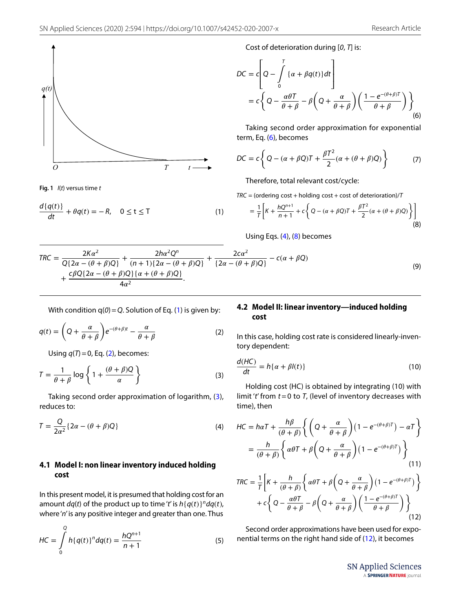

<span id="page-2-0"></span>**Fig. 1** *I*(*t*) versus time *t*

$$
\frac{d\{q(t)\}}{dt} + \theta q(t) = -R, \quad 0 \le t \le T
$$
 (1)

Cost of deterioration during [*0*, *T*] is:

$$
DC = c \left[ Q - \int_{0}^{T} \{ \alpha + \beta q(t) \} dt \right]
$$
  
=  $c \left\{ Q - \frac{\alpha \theta T}{\theta + \beta} - \beta \left( Q + \frac{\alpha}{\theta + \beta} \right) \left( \frac{1 - e^{-(\theta + \beta)T}}{\theta + \beta} \right) \right\}$ <sub>(6)</sub>

<span id="page-2-1"></span>Taking second order approximation for exponential term, Eq. ([6](#page-2-1)), becomes

$$
DC = c \left\{ Q - (\alpha + \beta Q)T + \frac{\beta T^2}{2} (\alpha + (\theta + \beta)Q) \right\}
$$
 (7)

Therefore, total relevant cost/cycle:

<span id="page-2-5"></span> $TRC = (ordering cost + holding cost + cost of determination)/T$ 

$$
= \frac{1}{T}\left[K + \frac{hQ^{n+1}}{n+1} + c\left\{Q - (\alpha + \beta Q)T + \frac{\beta T^2}{2}(\alpha + (\theta + \beta)Q)\right\}\right]
$$
(8)

<span id="page-2-8"></span><span id="page-2-3"></span>Using Eqs. [\(4](#page-2-2)), [\(8](#page-2-3)) becomes

$$
TRC = \frac{2Ka^2}{Q\{2\alpha - (\theta + \beta)Q\}} + \frac{2ha^2Q^n}{(n+1)\{2\alpha - (\theta + \beta)Q\}} + \frac{2c\alpha^2}{\{2\alpha - (\theta + \beta)Q\}} - c(\alpha + \beta Q)
$$
  
+ 
$$
\frac{c\beta Q\{2\alpha - (\theta + \beta)Q\}\{\alpha + (\theta + \beta)Q\}}{4\alpha^2}.
$$
 (9)

With condition  $q(0) = Q$ . Solution of Eq. [\(1](#page-2-5)) is given by:

$$
q(t) = \left(Q + \frac{\alpha}{\theta + \beta}\right)e^{-(\theta + \beta)t} - \frac{\alpha}{\theta + \beta}
$$
 (2)

Using *q*(*T*)=0, Eq. ([2\)](#page-2-6), becomes:

$$
T = \frac{1}{\theta + \beta} \log \left\{ 1 + \frac{(\theta + \beta)Q}{\alpha} \right\}
$$
 (3)

Taking second order approximation of logarithm, ([3](#page-2-7)), reduces to:

$$
T = \frac{Q}{2\alpha^2} \{ 2\alpha - (\theta + \beta)Q \}
$$
 (4)

#### **4.1 Model I: non linear inventory induced holding cost**

In this present model, it is presumed that holding cost for an amount  $dq(t)$  of the product up to time '*t*' is  $h\{q(t)\}^n dq(t)$ , where '*n*' is any positive integer and greater than one. Thus

$$
HC = \int_{0}^{Q} h\{q(t)\}^{n} dq(t) = \frac{hQ^{n+1}}{n+1}
$$
 (5)

#### **4.2 Model II: linear inventory—induced holding cost**

<span id="page-2-6"></span>In this case, holding cost rate is considered linearly-inventory dependent:

<span id="page-2-7"></span>
$$
\frac{d(HC)}{dt} = h\{\alpha + \beta l(t)\}\tag{10}
$$

Holding cost (HC) is obtained by integrating (10) with limit '*t*' from *t*=0 to *T*, (level of inventory decreases with time), then

<span id="page-2-2"></span>
$$
HC = h\alpha T + \frac{h\beta}{(\theta + \beta)} \left\{ \left( Q + \frac{\alpha}{\theta + \beta} \right) \left( 1 - e^{-(\theta + \beta)T} \right) - \alpha T \right\}
$$

$$
= \frac{h}{(\theta + \beta)} \left\{ \alpha \theta T + \beta \left( Q + \frac{\alpha}{\theta + \beta} \right) \left( 1 - e^{-(\theta + \beta)T} \right) \right\}
$$

$$
TRC = \frac{1}{T} \left[ K + \frac{h}{(\theta + \beta)} \left\{ \alpha \theta T + \beta \left( Q + \frac{\alpha}{\theta + \beta} \right) \left( 1 - e^{-(\theta + \beta)T} \right) \right\}
$$

$$
+ c \left\{ Q - \frac{\alpha \theta T}{\theta + \beta} - \beta \left( Q + \frac{\alpha}{\theta + \beta} \right) \left( \frac{1 - e^{-(\theta + \beta)T}}{\theta + \beta} \right) \right\}
$$

Second order approximations have been used for exponential terms on the right hand side of [\(12\)](#page-2-4), it becomes (12)

 $+ c$ 

**SN Applied Sciences** A SPRINGER NATURE journal

<span id="page-2-4"></span> $\theta + \beta$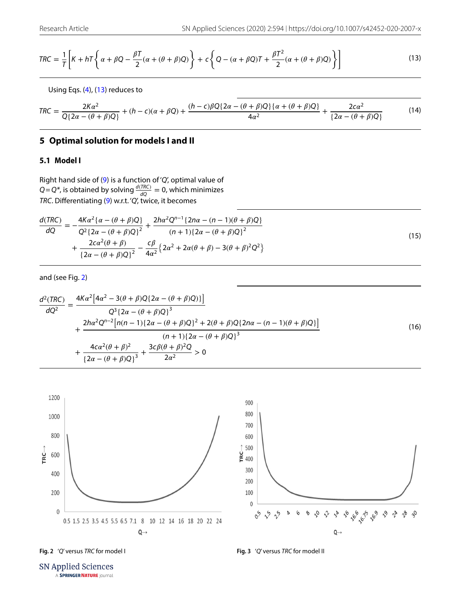$$
TRC = \frac{1}{T} \left[ K + hT \left\{ \alpha + \beta Q - \frac{\beta T}{2} (\alpha + (\theta + \beta) Q) \right\} + c \left\{ Q - (\alpha + \beta Q)T + \frac{\beta T^2}{2} (\alpha + (\theta + \beta) Q) \right\} \right]
$$
(13)

<span id="page-3-3"></span><span id="page-3-1"></span>Using Eqs. ([4](#page-2-2)), [\(13](#page-3-1)) reduces to

$$
TRC = \frac{2Ka^2}{Q\{2\alpha - (\theta + \beta)Q\}} + (h - c)(\alpha + \beta Q) + \frac{(h - c)\beta Q\{2\alpha - (\theta + \beta)Q\}\{\alpha + (\theta + \beta)Q\}}{4\alpha^2} + \frac{2c\alpha^2}{\{2\alpha - (\theta + \beta)Q\}}
$$
(14)

# <span id="page-3-0"></span>**5 Optimal solution for models I and II**

### **5.1 Model I**

Right hand side of ([9](#page-2-8)) is a function of '*Q*', optimal value of  $Q = Q^*$ , is obtained by solving  $\frac{d(TRC)}{dQ} = 0$ , which minimizes *TRC*. Diferentiating ([9](#page-2-8)) w.r.t. '*Q*', twice, it becomes

$$
\frac{d(TRC)}{dQ} = -\frac{4K\alpha^2 \{\alpha - (\theta + \beta)Q\}}{Q^2 \{2\alpha - (\theta + \beta)Q\}^2} + \frac{2h\alpha^2 Q^{n-1} \{2n\alpha - (n-1)(\theta + \beta)Q\}}{(n+1)\{2\alpha - (\theta + \beta)Q\}^2} + \frac{2c\alpha^2 (\theta + \beta)}{\{2\alpha - (\theta + \beta)Q\}^2} - \frac{c\beta}{4\alpha^2} \{2\alpha^2 + 2\alpha(\theta + \beta) - 3(\theta + \beta)^2 Q^2\}
$$
\n(15)

and (see Fig. [2](#page-3-2))

$$
\frac{d^{2}(TRC)}{dQ^{2}} = \frac{4Ka^{2}[4\alpha^{2} - 3(\theta + \beta)Q\{2\alpha - (\theta + \beta)Q\}]^{3}}{Q^{3}\{2\alpha - (\theta + \beta)Q\}^{3}}
$$
  
+ 
$$
\frac{2h\alpha^{2}Q^{n-2}[n(n-1)\{2\alpha - (\theta + \beta)Q\}^{2} + 2(\theta + \beta)Q\{2n\alpha - (n-1)(\theta + \beta)Q\}]^{3}}{(n+1)\{2\alpha - (\theta + \beta)Q\}^{3}}
$$
(16)  
+ 
$$
\frac{4c\alpha^{2}(\theta + \beta)^{2}}{\{2\alpha - (\theta + \beta)Q\}^{3}} + \frac{3c\beta(\theta + \beta)^{2}Q}{2\alpha^{2}} > 0
$$



<span id="page-3-2"></span>

<span id="page-3-4"></span>

**SN Applied Sciences** A SPRINGER NATURE journal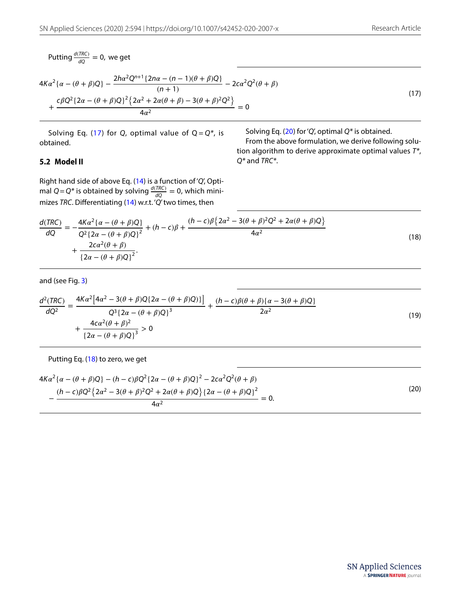Putting  $\frac{d(TRC)}{dQ} = 0$ , we get

$$
4K\alpha^{2}\{\alpha - (\theta + \beta)Q\} - \frac{2h\alpha^{2}Q^{n+1}\{2n\alpha - (n-1)(\theta + \beta)Q\}}{(n+1)} - 2c\alpha^{2}Q^{2}(\theta + \beta) + \frac{c\beta Q^{2}\{2\alpha - (\theta + \beta)Q\}^{2}\{2\alpha^{2} + 2\alpha(\theta + \beta) - 3(\theta + \beta)^{2}Q^{2}\}}{4\alpha^{2}} = 0
$$
\n(17)

Solving Eq.  $(17)$  $(17)$  for *Q*, optimal value of  $Q = Q^*$ , is obtained.

<span id="page-4-1"></span><span id="page-4-0"></span>Solving Eq. ([20\)](#page-4-2) for '*Q*', optimal *Q\** is obtained.

<span id="page-4-2"></span>From the above formulation, we derive following solution algorithm to derive approximate optimal values *T\**, *Q\** and *TRC\**.

## **5.2 Model II**

Right hand side of above Eq. [\(14\)](#page-3-3) is a function of '*Q*', Optimal  $Q = Q^*$  is obtained by solving  $\frac{d(TRC)}{dQ} = 0$ , which minimizes *TRC*. Diferentiating [\(14](#page-3-3)) w.r.t. '*Q*' two times, then

$$
\frac{d(TRC)}{dQ} = -\frac{4K\alpha^2 \{\alpha - (\theta + \beta)Q\}}{Q^2 \{2\alpha - (\theta + \beta)Q\}^2} + (h - c)\beta + \frac{(h - c)\beta \{2\alpha^2 - 3(\theta + \beta)^2 Q^2 + 2\alpha(\theta + \beta)Q\}}{4\alpha^2} + \frac{2c\alpha^2(\theta + \beta)}{\{2\alpha - (\theta + \beta)Q\}^2}.
$$
\n(18)

and (see Fig. [3](#page-3-4))

$$
\frac{d^2(TRC)}{dQ^2} = \frac{4K\alpha^2 \left[4\alpha^2 - 3(\theta + \beta)Q\{2\alpha - (\theta + \beta)Q\}\right]}{Q^3 \left\{2\alpha - (\theta + \beta)Q\right\}^3} + \frac{(h - c)\beta(\theta + \beta)\{\alpha - 3(\theta + \beta)Q\}}{2\alpha^2} + \frac{4c\alpha^2(\theta + \beta)^2}{\left\{2\alpha - (\theta + \beta)Q\right\}^3} > 0
$$
\n(19)

Putting Eq. [\(18](#page-4-1)) to zero, we get

$$
4K\alpha^2 \{\alpha - (\theta + \beta)Q\} - (h - c)\beta Q^2 \{2\alpha - (\theta + \beta)Q\}^2 - 2c\alpha^2 Q^2 (\theta + \beta)
$$

$$
-\frac{(h - c)\beta Q^2 \{2\alpha^2 - 3(\theta + \beta)^2 Q^2 + 2\alpha(\theta + \beta)Q\} \{2\alpha - (\theta + \beta)Q\}^2}{4\alpha^2} = 0.
$$
(20)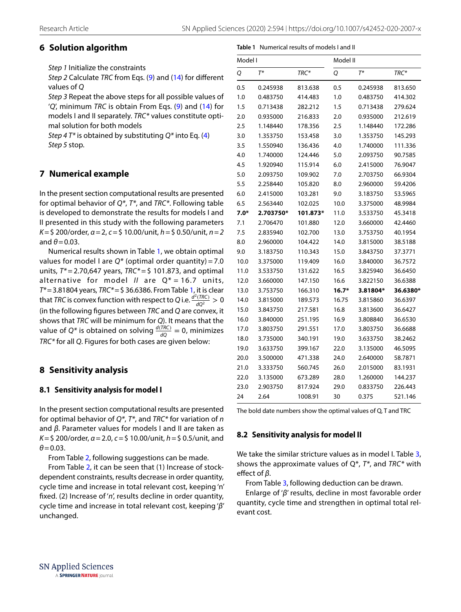<span id="page-5-2"></span>**Table 1** Numerical results of models I and II

# <span id="page-5-0"></span>**6 Solution algorithm**

*Step 1* Initialize the constraints

*Step 2* Calculate *TRC* from Eqs. [\(9](#page-2-8)) and ([14](#page-3-3)) for diferent values of *Q*

*Step 3* Repeat the above steps for all possible values of '*Q*', minimum *TRC* is obtain From Eqs. ([9](#page-2-8)) and ([14\)](#page-3-3) for models I and II separately. *TRC\** values constitute optimal solution for both models

*Step 4 T\** is obtained by substituting *Q\** into Eq. ([4](#page-2-2)) *Step 5* stop.

# <span id="page-5-1"></span>**7 Numerical example**

In the present section computational results are presented for optimal behavior of *Q\**, *T\**, and *TRC\**. Following table is developed to demonstrate the results for models I and II presented in this study with the following parameters *K*=\$ 200/order, *α*=2, *c*=\$ 10.00/unit, *h*=\$ 0.50/unit, *n*=*2* and  $\theta$  = 0.03.

Numerical results shown in Table [1,](#page-5-2) we obtain optimal values for model I are *Q\** (optimal order quantity) = 7.0 units, *T\** = 2.70,647 years, *TRC\** = \$ 101.873, and optimal alternative for model *II* are Q\* = 16.7 units, *T\**=3.81804 years, *TRC\**=\$ 36.6386. From Table [1](#page-5-2), it is clear that *TRC* is convex function with respect to *Q* i.e.  $\frac{d^2(TRC)}{dQ^2} > 0$ (in the following fgures between *TRC* and *Q* are convex, it shows that *TRC* will be minimum for *Q*). It means that the value of Q<sup>\*</sup> is obtained on solving  $\frac{d(TRC)}{dQ} = 0$ , minimizes *TRC\** for all *Q*. Figures for both cases are given below:

# **8 Sensitivity analysis**

# **8.1 Sensitivity analysis for model I**

In the present section computational results are presented for optimal behavior of *Q\**, *T\**, and *TRC\** for variation of *n* and *β*. Parameter values for models I and II are taken as *K*=\$ 200/order, *α*=2.0, *c*=\$ 10.00/unit, *h*=\$ 0.5/unit, and *θ*=0.03.

From Table [2](#page-6-0), following suggestions can be made.

From Table [2](#page-6-0), it can be seen that (1) Increase of stockdependent constraints, results decrease in order quantity, cycle time and increase in total relevant cost, keeping 'n' fxed. (2) Increase of '*n*', results decline in order quantity, cycle time and increase in total relevant cost, keeping '*β*' unchanged.

| Model I |           |          | Model II |          |          |  |  |
|---------|-----------|----------|----------|----------|----------|--|--|
| Q       | $T^*$     | TRC*     | Q        | $T^*$    | TRC*     |  |  |
| 0.5     | 0.245938  | 813.638  | 0.5      | 0.245938 | 813.650  |  |  |
| 1.0     | 0.483750  | 414.483  | 1.0      | 0.483750 | 414.302  |  |  |
| 1.5     | 0.713438  | 282.212  | 1.5      | 0.713438 | 279.624  |  |  |
| 2.0     | 0.935000  | 216.833  | 2.0      | 0.935000 | 212.619  |  |  |
| 2.5     | 1.148440  | 178.356  | 2.5      | 1.148440 | 172.286  |  |  |
| 3.0     | 1.353750  | 153.458  | 3.0      | 1.353750 | 145.293  |  |  |
| 3.5     | 1.550940  | 136.436  | 4.0      | 1.740000 | 111.336  |  |  |
| 4.0     | 1.740000  | 124.446  | 5.0      | 2.093750 | 90.7585  |  |  |
| 4.5     | 1.920940  | 115.914  | 6.0      | 2.415000 | 76.9047  |  |  |
| 5.0     | 2.093750  | 109.902  | 7.0      | 2.703750 | 66.9304  |  |  |
| 5.5     | 2.258440  | 105.820  | 8.0      | 2.960000 | 59.4206  |  |  |
| 6.0     | 2.415000  | 103.281  | 9.0      | 3.183750 | 53.5965  |  |  |
| 6.5     | 2.563440  | 102.025  | 10.0     | 3.375000 | 48.9984  |  |  |
| $7.0*$  | 2.703750* | 101.873* | 11.0     | 3.533750 | 45.3418  |  |  |
| 7.1     | 2.706470  | 101.880  | 12.0     | 3.660000 | 42.4460  |  |  |
| 7.5     | 2.835940  | 102.700  | 13.0     | 3.753750 | 40.1954  |  |  |
| 8.0     | 2.960000  | 104.422  | 14.0     | 3.815000 | 38.5188  |  |  |
| 9.0     | 3.183750  | 110.343  | 15.0     | 3.843750 | 37.3771  |  |  |
| 10.0    | 3.375000  | 119.409  | 16.0     | 3.840000 | 36.7572  |  |  |
| 11.0    | 3.533750  | 131.622  | 16.5     | 3.825940 | 36.6450  |  |  |
| 12.0    | 3.660000  | 147.150  | 16.6     | 3.822150 | 36.6388  |  |  |
| 13.0    | 3.753750  | 166.310  | 16.7*    | 3.81804* | 36.6380* |  |  |
| 14.0    | 3.815000  | 189.573  | 16.75    | 3.815860 | 36.6397  |  |  |
| 15.0    | 3.843750  | 217.581  | 16.8     | 3.813600 | 36.6427  |  |  |
| 16.0    | 3.840000  | 251.195  | 16.9     | 3.808840 | 36.6530  |  |  |
| 17.0    | 3.803750  | 291.551  | 17.0     | 3.803750 | 36.6688  |  |  |
| 18.0    | 3.735000  | 340.191  | 19.0     | 3.633750 | 38.2462  |  |  |
| 19.0    | 3.633750  | 399.167  | 22.0     | 3.135000 | 46.5095  |  |  |
| 20.0    | 3.500000  | 471.338  | 24.0     | 2.640000 | 58.7871  |  |  |
| 21.0    | 3.333750  | 560.745  | 26.0     | 2.015000 | 83.1931  |  |  |
| 22.0    | 3.135000  | 673.289  | 28.0     | 1.260000 | 144.237  |  |  |
| 23.0    | 2.903750  | 817.924  | 29.0     | 0.833750 | 226.443  |  |  |
| 24      | 2.64      | 1008.91  | 30       | 0.375    | 521.146  |  |  |

The bold date numbers show the optimal values of Q, T and TRC

### **8.2 Sensitivity analysis for model II**

We take the similar stricture values as in model I. Table [3](#page-6-1), shows the approximate values of Q\*, *T\**, and *TRC\** with efect of *β*.

From Table [3,](#page-6-1) following deduction can be drawn.

Enlarge of '*β*' results, decline in most favorable order quantity, cycle time and strengthen in optimal total relevant cost.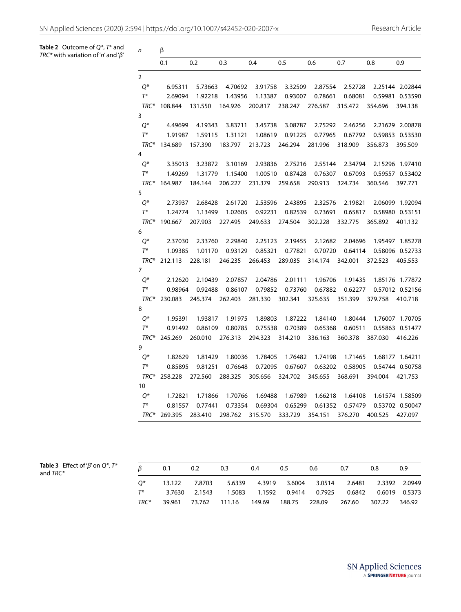<span id="page-6-0"></span>**Table 2** Outcome of *Q\**, *T*\* and **Table 2** Outcome of Q\*, T\* and  $n = \beta$ <br>TRC\* with variation of '*n'* and 'β' *n* 

| n              | β       |         |         |         |         |         |         |         |                 |
|----------------|---------|---------|---------|---------|---------|---------|---------|---------|-----------------|
|                | 0.1     | 0.2     | 0.3     | 0.4     | 0.5     | 0.6     | 0.7     | 0.8     | 0.9             |
| $\overline{2}$ |         |         |         |         |         |         |         |         |                 |
| $Q^*$          | 6.95311 | 5.73663 | 4.70692 | 3.91758 | 3.32509 | 2.87554 | 2.52728 |         | 2.25144 2.02844 |
| $T^*$          | 2.69094 | 1.92218 | 1.43956 | 1.13387 | 0.93007 | 0.78661 | 0.68081 | 0.59981 | 0.53590         |
| TRC*           | 108.844 | 131.550 | 164.926 | 200.817 | 238.247 | 276.587 | 315.472 | 354.696 | 394.138         |
| 3              |         |         |         |         |         |         |         |         |                 |
| $Q^*$          | 4.49699 | 4.19343 | 3.83711 | 3.45738 | 3.08787 | 2.75292 | 2.46256 |         | 2.21629 2.00878 |
| $T^*$          | 1.91987 | 1.59115 | 1.31121 | 1.08619 | 0.91225 | 0.77965 | 0.67792 |         | 0.59853 0.53530 |
| TRC*           | 134.689 | 157.390 | 183.797 | 213.723 | 246.294 | 281.996 | 318.909 | 356.873 | 395.509         |
| 4              |         |         |         |         |         |         |         |         |                 |
| $Q^*$          | 3.35013 | 3.23872 | 3.10169 | 2.93836 | 2.75216 | 2.55144 | 2.34794 |         | 2.15296 1.97410 |
| $T^*$          | 1.49269 | 1.31779 | 1.15400 | 1.00510 | 0.87428 | 0.76307 | 0.67093 |         | 0.59557 0.53402 |
| TRC*           | 164.987 | 184.144 | 206.227 | 231.379 | 259.658 | 290.913 | 324.734 | 360.546 | 397.771         |
| 5              |         |         |         |         |         |         |         |         |                 |
| Q*             | 2.73937 | 2.68428 | 2.61720 | 2.53596 | 2.43895 | 2.32576 | 2.19821 |         | 2.06099 1.92094 |
| $T^*$          | 1.24774 | 1.13499 | 1.02605 | 0.92231 | 0.82539 | 0.73691 | 0.65817 |         | 0.58980 0.53151 |
| TRC*           | 190.667 | 207.903 | 227.495 | 249.633 | 274.504 | 302.228 | 332.775 | 365.892 | 401.132         |
| 6              |         |         |         |         |         |         |         |         |                 |
| $Q^*$          | 2.37030 | 2.33760 | 2.29840 | 2.25123 | 2.19455 | 2.12682 | 2.04696 | 1.95497 | 1.85278         |
| $T^*$          | 1.09385 | 1.01170 | 0.93129 | 0.85321 | 0.77821 | 0.70720 | 0.64114 |         | 0.58096 0.52733 |
| TRC*           | 212.113 | 228.181 | 246.235 | 266.453 | 289.035 | 314.174 | 342.001 | 372.523 | 405.553         |
| 7              |         |         |         |         |         |         |         |         |                 |
| 0*             | 2.12620 | 2.10439 | 2.07857 | 2.04786 | 2.01111 | 1.96706 | 1.91435 |         | 1.85176 1.77872 |
| $T^*$          | 0.98964 | 0.92488 | 0.86107 | 0.79852 | 0.73760 | 0.67882 | 0.62277 |         | 0.57012 0.52156 |
| TRC*           | 230.083 | 245.374 | 262.403 | 281.330 | 302.341 | 325.635 | 351.399 | 379.758 | 410.718         |
| 8              |         |         |         |         |         |         |         |         |                 |
| $Q^*$          | 1.95391 | 1.93817 | 1.91975 | 1.89803 | 1.87222 | 1.84140 | 1.80444 |         | 1.76007 1.70705 |
| $T^*$          | 0.91492 | 0.86109 | 0.80785 | 0.75538 | 0.70389 | 0.65368 | 0.60511 |         | 0.55863 0.51477 |
| TRC*           | 245.269 | 260.010 | 276.313 | 294.323 | 314.210 | 336.163 | 360.378 | 387.030 | 416.226         |
| 9              |         |         |         |         |         |         |         |         |                 |
| Q*             | 1.82629 | 1.81429 | 1.80036 | 1.78405 | 1.76482 | 1.74198 | 1.71465 |         | 1.68177 1.64211 |
| $T^*$          | 0.85895 | 9.81251 | 0.76648 | 0.72095 | 0.67607 | 0.63202 | 0.58905 |         | 0.54744 0.50758 |
| TRC*           | 258.228 | 272.560 | 288.325 | 305.656 | 324.702 | 345.655 | 368.691 | 394.004 | 421.753         |
| 10             |         |         |         |         |         |         |         |         |                 |
| Q*             | 1.72821 | 1.71866 | 1.70766 | 1.69488 | 1.67989 | 1.66218 | 1.64108 |         | 1.61574 1.58509 |
| $T^*$          | 0.81557 | 0.77441 | 0.73354 | 0.69304 | 0.65299 | 0.61352 | 0.57479 |         | 0.53702 0.50047 |
| TRC*           | 269.395 | 283.410 | 298.762 | 315.570 | 333.729 | 354.151 | 376.270 | 400.525 | 427.097         |

<span id="page-6-1"></span>

|             | <b>Table 3</b> Effect of ' $\beta$ ' on $Q^*$ , $T^*$ |
|-------------|-------------------------------------------------------|
| and $TRC^*$ |                                                       |

| <b>Table 3</b> Effect of ' $\beta$ ' on $Q^*$ , $T^*$<br>and $TRC*$ | R    | 0.1    | 0.2           | 0.3    | 0.4    | 0.5    | 0.6                  | 0.7    | 0.8    | 0.9           |
|---------------------------------------------------------------------|------|--------|---------------|--------|--------|--------|----------------------|--------|--------|---------------|
|                                                                     |      | 13.122 | 7.8703        | 5.6339 |        |        | 4.3919 3.6004 3.0514 |        |        |               |
|                                                                     |      |        | 3.7630 2.1543 |        |        |        |                      | 0.6842 |        | 0.6019 0.5373 |
|                                                                     | TRC* | 39.961 | 73.762        | 111.16 | 149.69 | 188.75 | 228.09               | 267.60 | 307.22 | 346.92        |